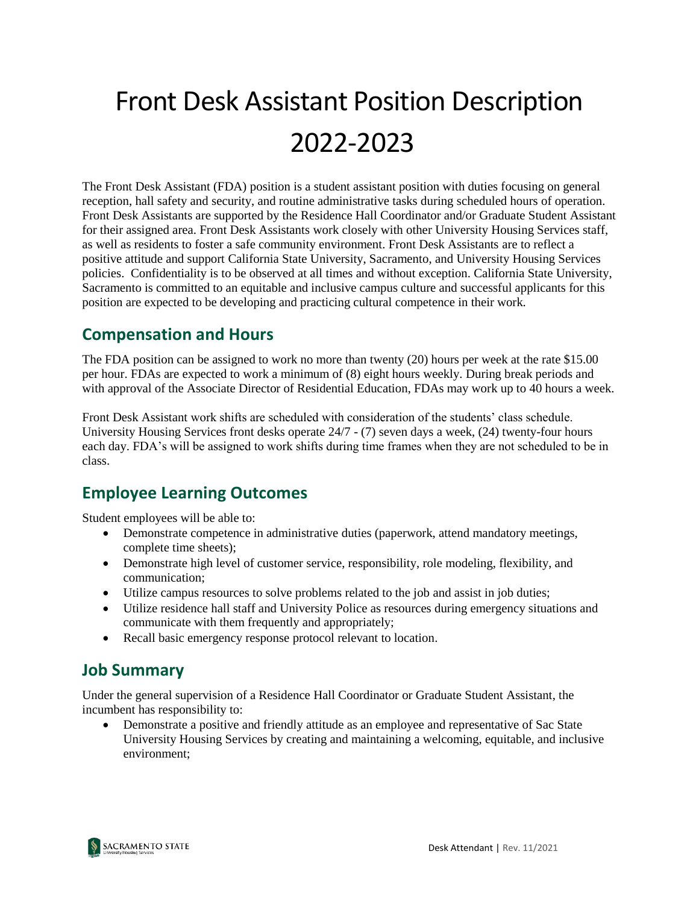# Front Desk Assistant Position Description 2022-2023

The Front Desk Assistant (FDA) position is a student assistant position with duties focusing on general reception, hall safety and security, and routine administrative tasks during scheduled hours of operation. Front Desk Assistants are supported by the Residence Hall Coordinator and/or Graduate Student Assistant for their assigned area. Front Desk Assistants work closely with other University Housing Services staff, as well as residents to foster a safe community environment. Front Desk Assistants are to reflect a positive attitude and support California State University, Sacramento, and University Housing Services policies. Confidentiality is to be observed at all times and without exception. California State University, Sacramento is committed to an equitable and inclusive campus culture and successful applicants for this position are expected to be developing and practicing cultural competence in their work.

# **Compensation and Hours**

The FDA position can be assigned to work no more than twenty (20) hours per week at the rate \$15.00 per hour. FDAs are expected to work a minimum of (8) eight hours weekly. During break periods and with approval of the Associate Director of Residential Education, FDAs may work up to 40 hours a week.

Front Desk Assistant work shifts are scheduled with consideration of the students' class schedule. University Housing Services front desks operate 24/7 - (7) seven days a week, (24) twenty-four hours each day. FDA's will be assigned to work shifts during time frames when they are not scheduled to be in class.

### **Employee Learning Outcomes**

Student employees will be able to:

- Demonstrate competence in administrative duties (paperwork, attend mandatory meetings, complete time sheets);
- Demonstrate high level of customer service, responsibility, role modeling, flexibility, and communication;
- Utilize campus resources to solve problems related to the job and assist in job duties;
- Utilize residence hall staff and University Police as resources during emergency situations and communicate with them frequently and appropriately;
- Recall basic emergency response protocol relevant to location.

### **Job Summary**

Under the general supervision of a Residence Hall Coordinator or Graduate Student Assistant, the incumbent has responsibility to:

• Demonstrate a positive and friendly attitude as an employee and representative of Sac State University Housing Services by creating and maintaining a welcoming, equitable, and inclusive environment;

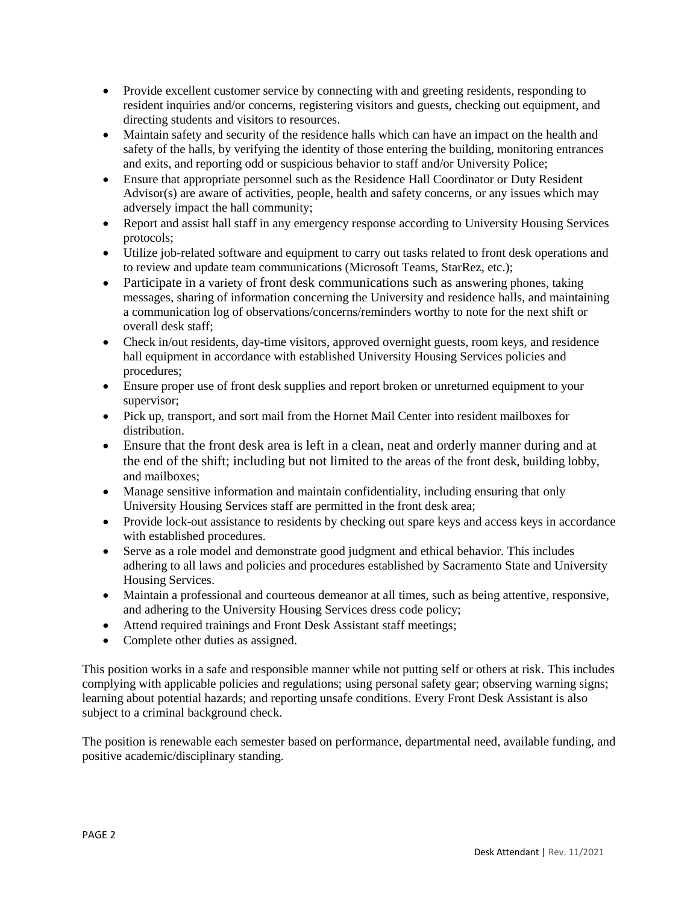- Provide excellent customer service by connecting with and greeting residents, responding to resident inquiries and/or concerns, registering visitors and guests, checking out equipment, and directing students and visitors to resources.
- Maintain safety and security of the residence halls which can have an impact on the health and safety of the halls, by verifying the identity of those entering the building, monitoring entrances and exits, and reporting odd or suspicious behavior to staff and/or University Police;
- Ensure that appropriate personnel such as the Residence Hall Coordinator or Duty Resident Advisor(s) are aware of activities, people, health and safety concerns, or any issues which may adversely impact the hall community;
- Report and assist hall staff in any emergency response according to University Housing Services protocols;
- Utilize job-related software and equipment to carry out tasks related to front desk operations and to review and update team communications (Microsoft Teams, StarRez, etc.);
- Participate in a variety of front desk communications such as answering phones, taking messages, sharing of information concerning the University and residence halls, and maintaining a communication log of observations/concerns/reminders worthy to note for the next shift or overall desk staff;
- Check in/out residents, day-time visitors, approved overnight guests, room keys, and residence hall equipment in accordance with established University Housing Services policies and procedures;
- Ensure proper use of front desk supplies and report broken or unreturned equipment to your supervisor;
- Pick up, transport, and sort mail from the Hornet Mail Center into resident mailboxes for distribution.
- Ensure that the front desk area is left in a clean, neat and orderly manner during and at the end of the shift; including but not limited to the areas of the front desk, building lobby, and mailboxes;
- Manage sensitive information and maintain confidentiality, including ensuring that only University Housing Services staff are permitted in the front desk area;
- Provide lock-out assistance to residents by checking out spare keys and access keys in accordance with established procedures.
- Serve as a role model and demonstrate good judgment and ethical behavior. This includes adhering to all laws and policies and procedures established by Sacramento State and University Housing Services.
- Maintain a professional and courteous demeanor at all times, such as being attentive, responsive, and adhering to the University Housing Services dress code policy;
- Attend required trainings and Front Desk Assistant staff meetings;
- Complete other duties as assigned.

This position works in a safe and responsible manner while not putting self or others at risk. This includes complying with applicable policies and regulations; using personal safety gear; observing warning signs; learning about potential hazards; and reporting unsafe conditions. Every Front Desk Assistant is also subject to a criminal background check.

The position is renewable each semester based on performance, departmental need, available funding, and positive academic/disciplinary standing.